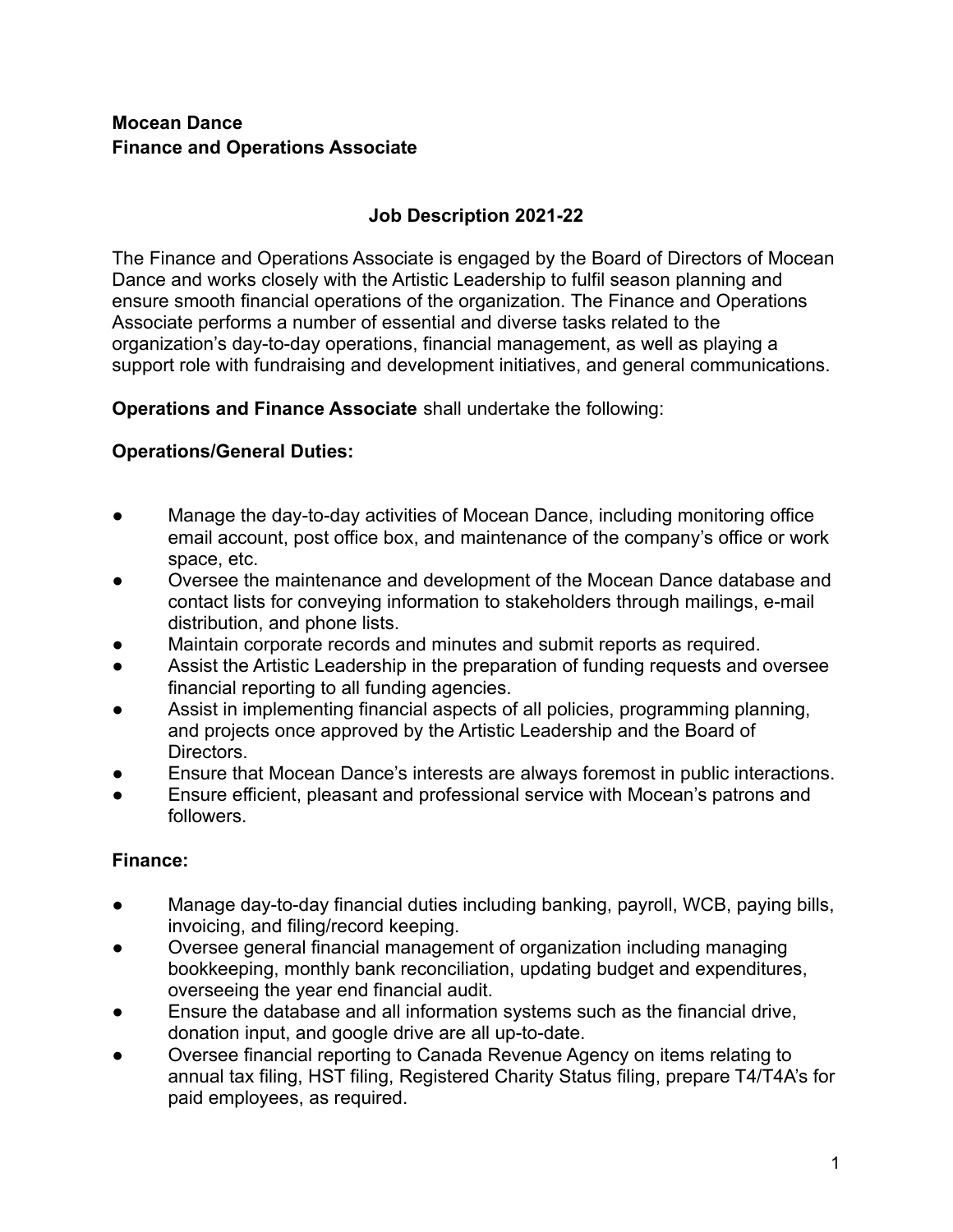### **Mocean Dance Finance and Operations Associate**

# **Job Description 2021-22**

The Finance and Operations Associate is engaged by the Board of Directors of Mocean Dance and works closely with the Artistic Leadership to fulfil season planning and ensure smooth financial operations of the organization. The Finance and Operations Associate performs a number of essential and diverse tasks related to the organization's day-to-day operations, financial management, as well as playing a support role with fundraising and development initiatives, and general communications.

**Operations and Finance Associate** shall undertake the following:

## **Operations/General Duties:**

- Manage the day-to-day activities of Mocean Dance, including monitoring office email account, post office box, and maintenance of the company's office or work space, etc.
- Oversee the maintenance and development of the Mocean Dance database and contact lists for conveying information to stakeholders through mailings, e-mail distribution, and phone lists.
- Maintain corporate records and minutes and submit reports as required.
- Assist the Artistic Leadership in the preparation of funding requests and oversee financial reporting to all funding agencies.
- Assist in implementing financial aspects of all policies, programming planning, and projects once approved by the Artistic Leadership and the Board of Directors.
- Ensure that Mocean Dance's interests are always foremost in public interactions.
- Ensure efficient, pleasant and professional service with Mocean's patrons and followers.

## **Finance:**

- Manage day-to-day financial duties including banking, payroll, WCB, paying bills, invoicing, and filing/record keeping.
- Oversee general financial management of organization including managing bookkeeping, monthly bank reconciliation, updating budget and expenditures, overseeing the year end financial audit.
- Ensure the database and all information systems such as the financial drive, donation input, and google drive are all up-to-date.
- Oversee financial reporting to Canada Revenue Agency on items relating to annual tax filing, HST filing, Registered Charity Status filing, prepare T4/T4A's for paid employees, as required.